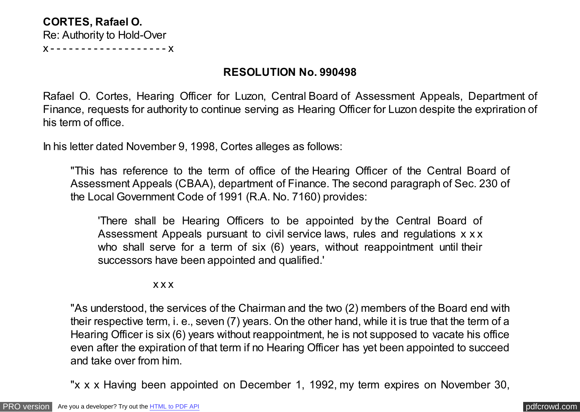## **CORTES, Rafael O.** Re: Authority to Hold-Over x - - - - - - - - - - - - - - - - - - - x

## **RESOLUTION No. 990498**

Rafael O. Cortes, Hearing Officer for Luzon, Central Board of Assessment Appeals, Department of Finance, requests for authority to continue serving as Hearing Officer for Luzon despite the expriration of his term of office.

In his letter dated November 9, 1998, Cortes alleges as follows:

"This has reference to the term of office of the Hearing Officer of the Central Board of Assessment Appeals (CBAA), department of Finance. The second paragraph of Sec. 230 of the Local Government Code of 1991 (R.A. No. 7160) provides:

'There shall be Hearing Officers to be appointed by the Central Board of Assessment Appeals pursuant to civil service laws, rules and regulations x x x who shall serve for a term of six (6) years, without reappointment until their successors have been appointed and qualified.'

x x x

"As understood, the services of the Chairman and the two (2) members of the Board end with their respective term, i. e., seven (7) years. On the other hand, while it is true that the term of a Hearing Officer is six (6) years without reappointment, he is not supposed to vacate his office even after the expiration of that term if no Hearing Officer has yet been appointed to succeed and take over from him.

"x x x Having been appointed on December 1, 1992, my term expires on November 30,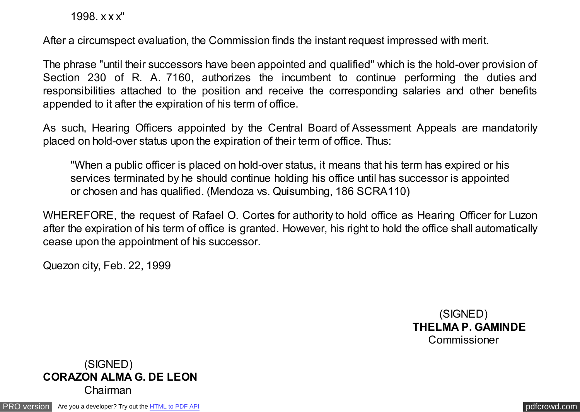1998. x x x"

After a circumspect evaluation, the Commission finds the instant request impressed with merit.

The phrase "until their successors have been appointed and qualified" which is the hold-over provision of Section 230 of R. A. 7160, authorizes the incumbent to continue performing the duties and responsibilities attached to the position and receive the corresponding salaries and other benefits appended to it after the expiration of his term of office.

As such, Hearing Officers appointed by the Central Board of Assessment Appeals are mandatorily placed on hold-over status upon the expiration of their term of office. Thus:

"When a public officer is placed on hold-over status, it means that his term has expired or his services terminated by he should continue holding his office until has successor is appointed or chosen and has qualified. (Mendoza vs. Quisumbing, 186 SCRA110)

WHEREFORE, the request of Rafael O. Cortes for authority to hold office as Hearing Officer for Luzon after the expiration of his term of office is granted. However, his right to hold the office shall automatically cease upon the appointment of his successor.

Quezon city, Feb. 22, 1999

 (SIGNED)  **THELMA P. GAMINDE Commissioner** 

## (SIGNED) **CORAZON ALMA G. DE LEON**  Chairman

[PRO version](http://pdfcrowd.com/customize/) Are you a developer? Try out th[e HTML to PDF API](http://pdfcrowd.com/html-to-pdf-api/?ref=pdf) provided and the example of the HTML to PDF API [pdfcrowd.com](http://pdfcrowd.com)